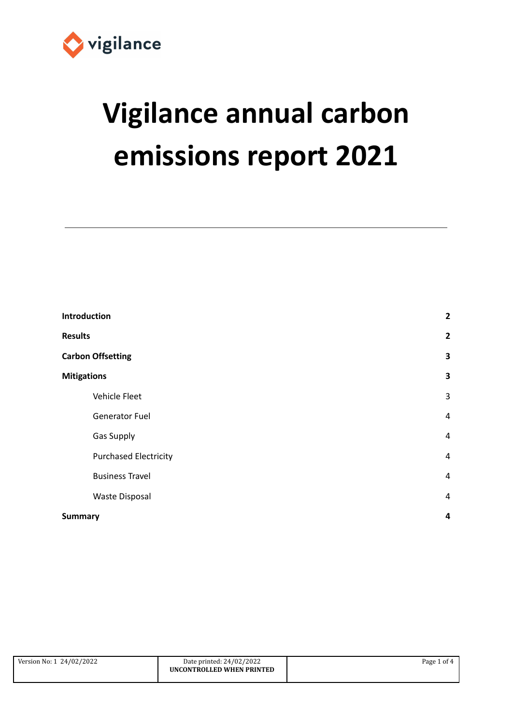

# **Vigilance annual carbon emissions report 2021**

| Introduction                 | $\overline{\mathbf{2}}$ |
|------------------------------|-------------------------|
| <b>Results</b>               | $\overline{2}$          |
| <b>Carbon Offsetting</b>     | $\overline{\mathbf{3}}$ |
| <b>Mitigations</b>           | 3                       |
| Vehicle Fleet                | $\mathsf 3$             |
| <b>Generator Fuel</b>        | $\overline{4}$          |
| <b>Gas Supply</b>            | $\overline{4}$          |
| <b>Purchased Electricity</b> | $\overline{4}$          |
| <b>Business Travel</b>       | $\overline{4}$          |
| <b>Waste Disposal</b>        | $\overline{4}$          |
| <b>Summary</b>               | $\overline{\mathbf{r}}$ |

<span id="page-0-0"></span>

| Version No: 1 24/02/2022 | Date printed: 24/02/2022  | Page 1 of 4 |
|--------------------------|---------------------------|-------------|
|                          | UNCONTROLLED WHEN PRINTED |             |
|                          |                           |             |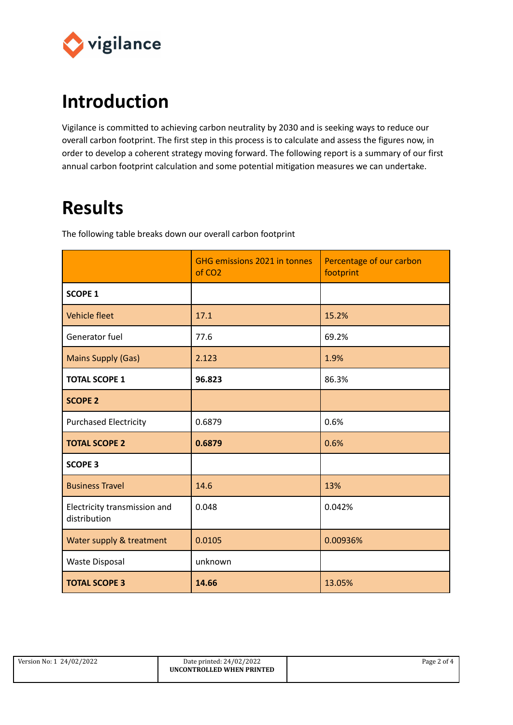

## **Introduction**

Vigilance is committed to achieving carbon neutrality by 2030 and is seeking ways to reduce our overall carbon footprint. The first step in this process is to calculate and assess the figures now, in order to develop a coherent strategy moving forward. The following report is a summary of our first annual carbon footprint calculation and some potential mitigation measures we can undertake.

## <span id="page-1-0"></span>**Results**

The following table breaks down our overall carbon footprint

|                                              | GHG emissions 2021 in tonnes<br>of CO <sub>2</sub> | Percentage of our carbon<br>footprint |
|----------------------------------------------|----------------------------------------------------|---------------------------------------|
| <b>SCOPE 1</b>                               |                                                    |                                       |
| Vehicle fleet                                | 17.1                                               | 15.2%                                 |
| Generator fuel                               | 77.6                                               | 69.2%                                 |
| <b>Mains Supply (Gas)</b>                    | 2.123                                              | 1.9%                                  |
| <b>TOTAL SCOPE 1</b>                         | 96.823                                             | 86.3%                                 |
| <b>SCOPE 2</b>                               |                                                    |                                       |
| <b>Purchased Electricity</b>                 | 0.6879                                             | 0.6%                                  |
| <b>TOTAL SCOPE 2</b>                         | 0.6879                                             | 0.6%                                  |
| <b>SCOPE 3</b>                               |                                                    |                                       |
| <b>Business Travel</b>                       | 14.6                                               | 13%                                   |
| Electricity transmission and<br>distribution | 0.048                                              | 0.042%                                |
| Water supply & treatment                     | 0.0105                                             | 0.00936%                              |
| Waste Disposal                               | unknown                                            |                                       |
| <b>TOTAL SCOPE 3</b>                         | 14.66                                              | 13.05%                                |

| Version No: 1 24/02/2022 | Date printed: 24/02/2022  | Page 2 of 4 |
|--------------------------|---------------------------|-------------|
|                          | UNCONTROLLED WHEN PRINTED |             |
|                          |                           |             |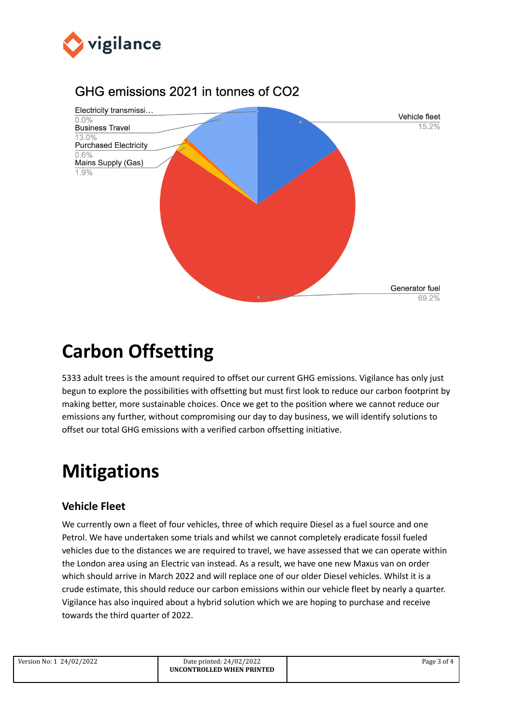

### GHG emissions 2021 in tonnes of CO2



## <span id="page-2-0"></span>**Carbon Offsetting**

5333 adult trees is the amount required to offset our current GHG emissions. Vigilance has only just begun to explore the possibilities with offsetting but must first look to reduce our carbon footprint by making better, more sustainable choices. Once we get to the position where we cannot reduce our emissions any further, without compromising our day to day business, we will identify solutions to offset our total GHG emissions with a verified carbon offsetting initiative.

## <span id="page-2-1"></span>**Mitigations**

#### <span id="page-2-2"></span>**Vehicle Fleet**

We currently own a fleet of four vehicles, three of which require Diesel as a fuel source and one Petrol. We have undertaken some trials and whilst we cannot completely eradicate fossil fueled vehicles due to the distances we are required to travel, we have assessed that we can operate within the London area using an Electric van instead. As a result, we have one new Maxus van on order which should arrive in March 2022 and will replace one of our older Diesel vehicles. Whilst it is a crude estimate, this should reduce our carbon emissions within our vehicle fleet by nearly a quarter. Vigilance has also inquired about a hybrid solution which we are hoping to purchase and receive towards the third quarter of 2022.

| Version No: 1 24/02/2022 |  |
|--------------------------|--|
|--------------------------|--|